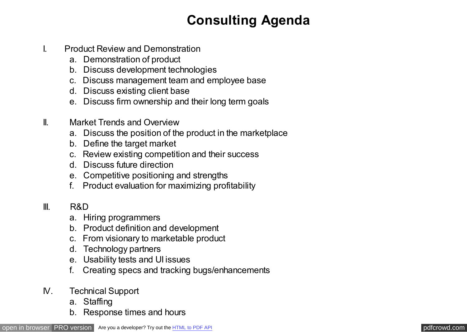## **Consulting Agenda**

- I. Product Review and Demonstration
	- a. Demonstration of product
	- b. Discuss development technologies
	- c. Discuss management team and employee base
	- d. Discuss existing client base
	- e. Discuss firm ownership and their long term goals
- II. Market Trends and Overview
	- a. Discuss the position of the product in the marketplace
	- b. Define the target market
	- c. Review existing competition and their success
	- d. Discuss future direction
	- e. Competitive positioning and strengths
	- f. Product evaluation for maximizing profitability
- III. R&D
	- a. Hiring programmers
	- b. Product definition and development
	- c. From visionary to marketable product
	- d. Technology partners
	- e. Usability tests and UI issues
	- f. Creating specs and tracking bugs/enhancements
- IV. Technical Support
	- a. Staffing
	- b. Response times and hours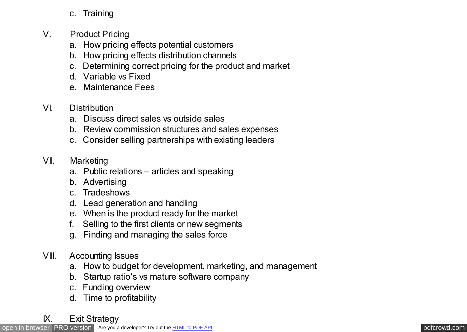## c. Training

- V. Product Pricing
	- a. How pricing effects potential customers
	- b. How pricing effects distribution channels
	- c. Determining correct pricing for the product and market
	- d. Variable vs Fixed
	- e. Maintenance Fees

## VI. Distribution

- a. Discuss direct sales vs outside sales
- b. Review commission structures and sales expenses
- c. Consider selling partnerships with existing leaders
- VII. Marketing
	- a. Public relations articles and speaking
	- b. Advertising
	- c. Tradeshows
	- d. Lead generation and handling
	- e. When is the product ready for the market
	- f. Selling to the first clients or new segments
	- g. Finding and managing the sales force
- VIII. Accounting Issues
	- a. How to budget for development, marketing, and management
	- b. Startup ratio's vs mature software company
	- c. Funding overview
	- d. Time to profitability
- IX. Exit Strategy